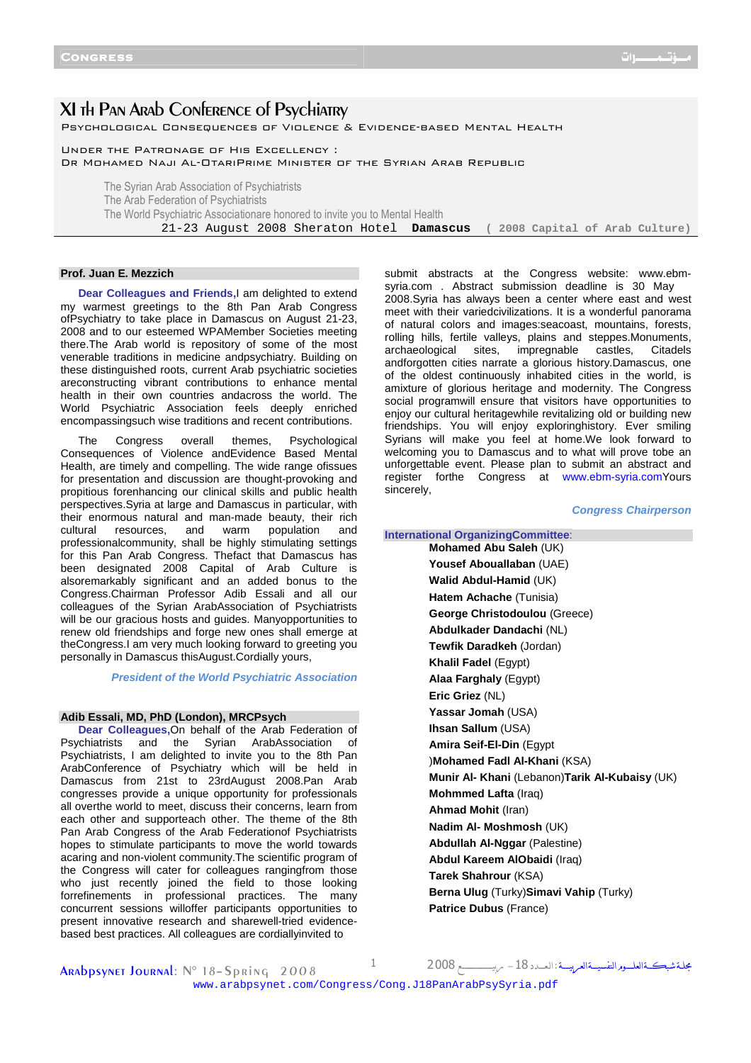Ī

# XI th Pan Arab Conference of Psychiatry

Psychological Consequences of Violence & Evidence-based Mental Health

Under the Patronage of His Excellency :

Dr Mohamed Naji Al-OtariPrime Minister of the Syrian Arab Republic

The Syrian Arab Association of Psychiatrists The Arab Federation of Psychiatrists The World Psychiatric Associationare honored to invite you to Mental Health 21-23 August 2008 Sheraton Hotel **Damascus ( 2008 Capital of Arab Culture)**

# **Prof. Juan E. Mezzich**

**Dear Colleagues and Friends,**I am delighted to extend my warmest greetings to the 8th Pan Arab Congress ofPsychiatry to take place in Damascus on August 21-23, 2008 and to our esteemed WPAMember Societies meeting there.The Arab world is repository of some of the most venerable traditions in medicine andpsychiatry. Building on these distinguished roots, current Arab psychiatric societies areconstructing vibrant contributions to enhance mental health in their own countries andacross the world. The World Psychiatric Association feels deeply enriched encompassingsuch wise traditions and recent contributions.

The Congress overall themes, Psychological Consequences of Violence andEvidence Based Mental Health, are timely and compelling. The wide range ofissues for presentation and discussion are thought-provoking and propitious forenhancing our clinical skills and public health perspectives.Syria at large and Damascus in particular, with their enormous natural and man-made beauty, their rich cultural resources, and warm population and professionalcommunity, shall be highly stimulating settings for this Pan Arab Congress. Thefact that Damascus has been designated 2008 Capital of Arab Culture is alsoremarkably significant and an added bonus to the Congress.Chairman Professor Adib Essali and all our colleagues of the Syrian ArabAssociation of Psychiatrists will be our gracious hosts and guides. Manyopportunities to renew old friendships and forge new ones shall emerge at theCongress.I am very much looking forward to greeting you personally in Damascus thisAugust.Cordially yours,

**President of the World Psychiatric Association**

#### **Adib Essali, MD, PhD (London), MRCPsych**

**Dear Colleagues,**On behalf of the Arab Federation of Psychiatrists and the Syrian ArabAssociation of Psychiatrists, I am delighted to invite you to the 8th Pan ArabConference of Psychiatry which will be held in Damascus from 21st to 23rdAugust 2008.Pan Arab congresses provide a unique opportunity for professionals all overthe world to meet, discuss their concerns, learn from each other and supporteach other. The theme of the 8th Pan Arab Congress of the Arab Federationof Psychiatrists hopes to stimulate participants to move the world towards acaring and non-violent community.The scientific program of the Congress will cater for colleagues rangingfrom those who just recently joined the field to those looking forrefinements in professional practices. The many concurrent sessions willoffer participants opportunities to present innovative research and sharewell-tried evidencebased best practices. All colleagues are cordiallyinvited to

submit abstracts at the Congress website: www.ebmsyria.com . Abstract submission deadline is 30 May 2008.Syria has always been a center where east and west meet with their variedcivilizations. It is a wonderful panorama of natural colors and images:seacoast, mountains, forests, rolling hills, fertile valleys, plains and steppes.Monuments, archaeological sites, impregnable castles, Citadels andforgotten cities narrate a glorious history.Damascus, one of the oldest continuously inhabited cities in the world, is amixture of glorious heritage and modernity. The Congress social programwill ensure that visitors have opportunities to enjoy our cultural heritagewhile revitalizing old or building new friendships. You will enjoy exploringhistory. Ever smiling Syrians will make you feel at home.We look forward to welcoming you to Damascus and to what will prove tobe an unforgettable event. Please plan to submit an abstract and register forthe Congress at www.ebm-syria.comYours sincerely,

#### **Congress Chairperson**

**International OrganizingCommittee**: **Mohamed Abu Saleh** (UK) **Yousef Abouallaban** (UAE) **Walid Abdul-Hamid** (UK) **Hatem Achache** (Tunisia) **George Christodoulou** (Greece) **Abdulkader Dandachi** (NL) **Tewfik Daradkeh** (Jordan) **Khalil Fadel** (Egypt) **Alaa Farghaly** (Egypt) **Eric Griez** (NL) **Yassar Jomah** (USA) **Ihsan Sallum** (USA) **Amira Seif-El-Din** (Egypt )**Mohamed Fadl Al-Khani** (KSA) **Munir Al- Khani** (Lebanon)**Tarik Al-Kubaisy** (UK) **Mohmmed Lafta** (Iraq) **Ahmad Mohit** (Iran) **Nadim Al- Moshmosh** (UK) **Abdullah Al-Nggar** (Palestine) **Abdul Kareem AlObaidi** (Iraq) **Tarek Shahrour** (KSA) **Berna Ulug** (Turky)**Simavi Vahip** (Turky) **Patrice Dubus** (France)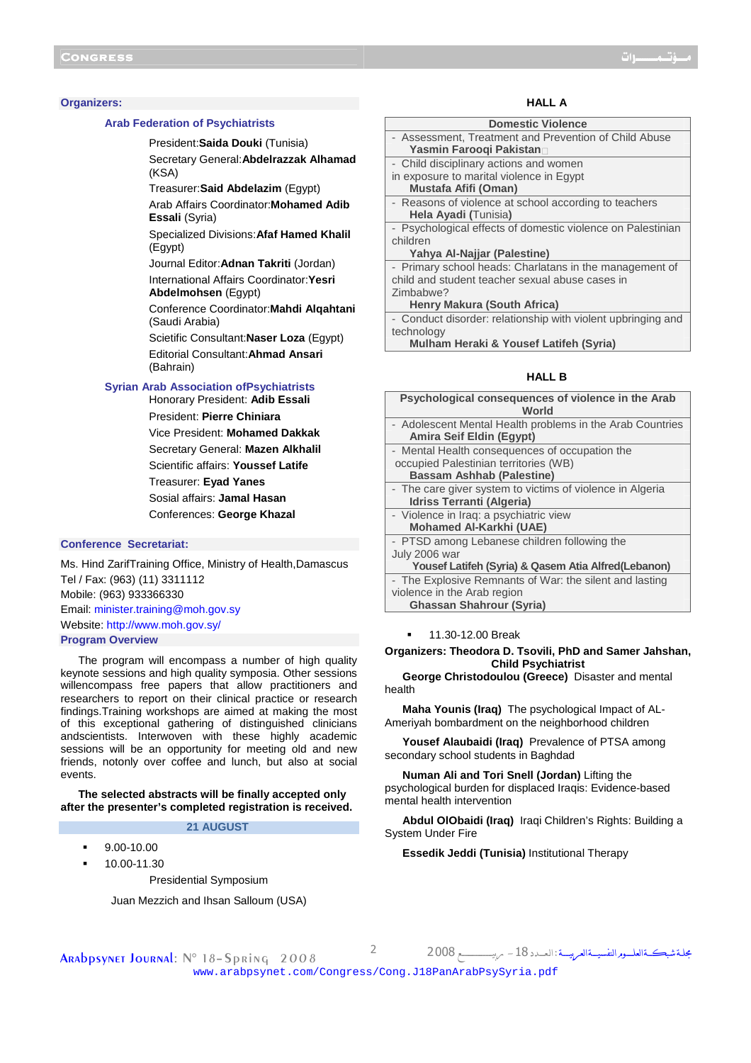#### **Organizers:**

#### **Arab Federation of Psychiatrists**

President:**Saida Douki** (Tunisia)

Secretary General:**Abdelrazzak Alhamad**  (KSA)

Treasurer:**Said Abdelazim** (Egypt)

Arab Affairs Coordinator:**Mohamed Adib Essali** (Syria)

Specialized Divisions:**Afaf Hamed Khalil**  (Egypt)

Journal Editor:**Adnan Takriti** (Jordan)

International Affairs Coordinator:**Yesri Abdelmohsen** (Egypt)

Conference Coordinator:**Mahdi Alqahtani**  (Saudi Arabia)

Scietific Consultant:**Naser Loza** (Egypt) Editorial Consultant:**Ahmad Ansari**  (Bahrain)

#### **Syrian Arab Association ofPsychiatrists**

Honorary President: **Adib Essali**  President: **Pierre Chiniara**  Vice President: **Mohamed Dakkak**  Secretary General: **Mazen Alkhalil**  Scientific affairs: **Youssef Latife**  Treasurer: **Eyad Yanes**  Sosial affairs: **Jamal Hasan**  Conferences: **George Khazal** 

## **Conference Secretariat:**

Ms. Hind ZarifTraining Office, Ministry of Health,Damascus Tel / Fax: (963) (11) 3311112 Mobile: (963) 933366330 Email: minister.training@moh.gov.sy Website: http://www.moh.gov.sy/ **Program Overview**

The program will encompass a number of high quality keynote sessions and high quality symposia. Other sessions willencompass free papers that allow practitioners and researchers to report on their clinical practice or research findings.Training workshops are aimed at making the most of this exceptional gathering of distinguished clinicians andscientists. Interwoven with these highly academic sessions will be an opportunity for meeting old and new friends, notonly over coffee and lunch, but also at social events.

**The selected abstracts will be finally accepted only after the presenter's completed registration is received.** 

# **21 AUGUST**

- 9.00-10.00
- 10.00-11.30

Presidential Symposium

Juan Mezzich and Ihsan Salloum (USA)

# **HALL A**

#### **Domestic Violence**

- Assessment, Treatment and Prevention of Child Abuse **Yasmin Farooqi Pakistan**-
- Child disciplinary actions and women
- in exposure to marital violence in Egypt
- **Mustafa Afifi (Oman)**  Reasons of violence at school according to teachers
- **Hela Ayadi (**Tunisia**)**

Psychological effects of domestic violence on Palestinian children

# **Yahya Al-Najjar (Palestine)**

Primary school heads: Charlatans in the management of child and student teacher sexual abuse cases in Zimbabwe?

#### **Henry Makura (South Africa)**

Conduct disorder: relationship with violent upbringing and technology

**Mulham Heraki & Yousef Latifeh (Syria)** 

## **HALL B**

| Psychological consequences of violence in the Arab<br>World |
|-------------------------------------------------------------|
| - Adolescent Mental Health problems in the Arab Countries   |
| Amira Seif Eldin (Egypt)                                    |
|                                                             |
| - Mental Health consequences of occupation the              |
| occupied Palestinian territories (WB)                       |
| <b>Bassam Ashhab (Palestine)</b>                            |
| - The care giver system to victims of violence in Algeria   |
| Idriss Terranti (Algeria)                                   |
| - Violence in Iraq: a psychiatric view                      |
| <b>Mohamed Al-Karkhi (UAE)</b>                              |
| - PTSD among Lebanese children following the                |
| July 2006 war                                               |
| Yousef Latifeh (Syria) & Qasem Atia Alfred (Lebanon)        |
| - The Explosive Remnants of War: the silent and lasting     |
| violence in the Arab region                                 |
| <b>Ghassan Shahrour (Syria)</b>                             |

#### 11.30-12.00 Break

**Organizers: Theodora D. Tsovili, PhD and Samer Jahshan, Child Psychiatrist** 

**George Christodoulou (Greece)** Disaster and mental health

**Maha Younis (Iraq)** The psychological Impact of AL-Ameriyah bombardment on the neighborhood children

**Yousef Alaubaidi (Iraq)** Prevalence of PTSA among secondary school students in Baghdad

**Numan Ali and Tori Snell (Jordan)** Lifting the psychological burden for displaced Iraqis: Evidence-based mental health intervention

**Abdul OlObaidi (Iraq)** Iraqi Children's Rights: Building a System Under Fire

**Essedik Jeddi (Tunisia)** Institutional Therapy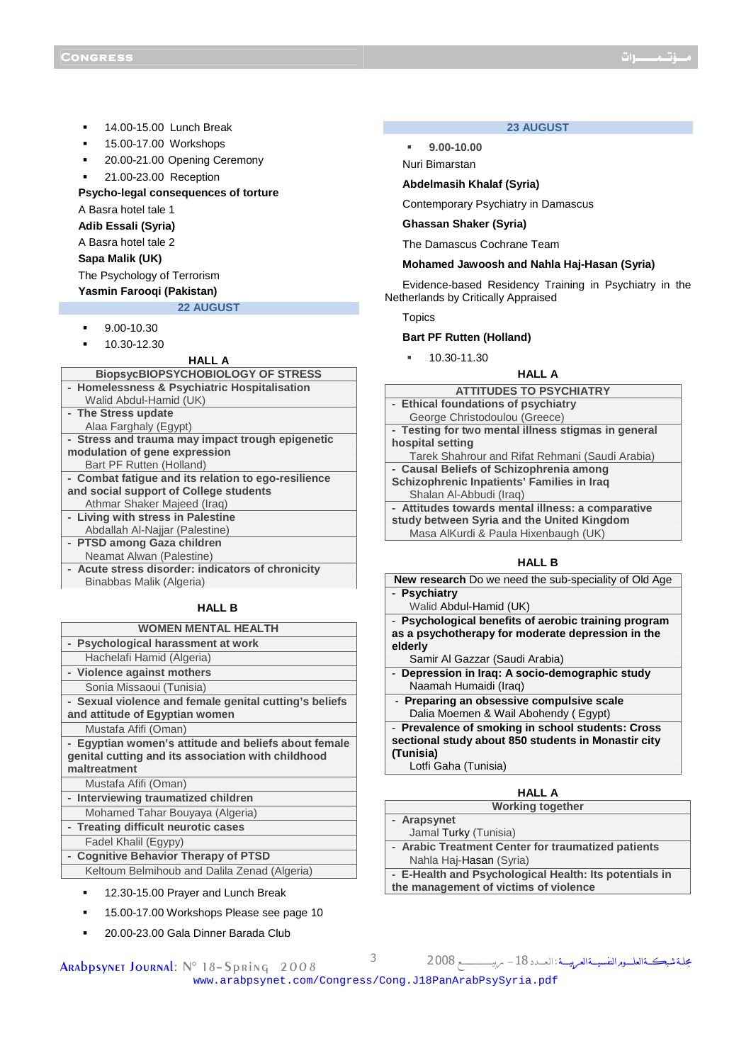- 14.00-15.00 Lunch Break
- 15.00-17.00 Workshops
- **20.00-21.00 Opening Ceremony**
- 21.00-23.00 Reception

## **Psycho-legal consequences of torture**

A Basra hotel tale 1

**Adib Essali (Syria)** 

- A Basra hotel tale 2
- **Sapa Malik (UK)**

The Psychology of Terrorism

# **Yasmin Farooqi (Pakistan)**

22 **AUGUST** 

- 9.00-10.30
- 10.30-12.30

## **HALL A**

| <b>BiopsycBIOPSYCHOBIOLOGY OF STRESS</b>            |
|-----------------------------------------------------|
| - Homelessness & Psychiatric Hospitalisation        |
| Walid Abdul-Hamid (UK)                              |
| - The Stress update                                 |
| Alaa Farghaly (Egypt)                               |
| - Stress and trauma may impact trough epigenetic    |
| modulation of gene expression                       |
| Bart PF Rutten (Holland)                            |
| - Combat fatique and its relation to ego-resilience |
| and social support of College students              |
| Athmar Shaker Majeed (Iraq)                         |
| - Living with stress in Palestine                   |
| Abdallah Al-Najjar (Palestine)                      |
| - PTSD among Gaza children                          |
| Neamat Alwan (Palestine)                            |
| - Acute stress disorder: indicators of chronicity   |
| Binabbas Malik (Algeria)                            |
|                                                     |
| . <del>.</del>                                      |

# **HALL B**

# **WOMEN MENTAL HEALTH**

- **Psychological harassment at work**  Hachelafi Hamid (Algeria) **- Violence against mothers**
- Sonia Missaoui (Tunisia)
- **Sexual violence and female genital cutting's beliefs and attitude of Egyptian women** 
	- Mustafa Afifi (Oman)
- **Egyptian women's attitude and beliefs about female genital cutting and its association with childhood maltreatment**
- Mustafa Afifi (Oman)
- **Interviewing traumatized children**
- Mohamed Tahar Bouyaya (Algeria)
- **Treating difficult neurotic cases**
- Fadel Khalil (Egypy)
- **Cognitive Behavior Therapy of PTSD**  Keltoum Belmihoub and Dalila Zenad (Algeria)
	-
	- 12.30-15.00 Prayer and Lunch Break
	- 15.00-17.00 Workshops Please see page 10
	- 20.00-23.00 Gala Dinner Barada Club

ARABPSYNET JOURNAL: N° 18-Spring 2008

# **23 AUGUST**

**9.00-10.00** 

Nuri Bimarstan

# **Abdelmasih Khalaf (Syria)**

Contemporary Psychiatry in Damascus

## **Ghassan Shaker (Syria)**

The Damascus Cochrane Team

#### **Mohamed Jawoosh and Nahla Haj-Hasan (Syria)**

Evidence-based Residency Training in Psychiatry in the Netherlands by Critically Appraised

**Topics** 

## **Bart PF Rutten (Holland)**

- 10.30-11.30
	- **HALL A**

# **ATTITUDES TO PSYCHIATRY**

**- Ethical foundations of psychiatry** George Christodoulou (Greece) **- Testing for two mental illness stigmas in general hospital setting**  Tarek Shahrour and Rifat Rehmani (Saudi Arabia) **- Causal Beliefs of Schizophrenia among Schizophrenic Inpatients' Families in Iraq**  Shalan Al-Abbudi (Iraq) **- Attitudes towards mental illness: a comparative study between Syria and the United Kingdom**  Masa AlKurdi & Paula Hixenbaugh (UK)

#### **HALL B**

|              | <b>New research</b> Do we need the sub-speciality of Old Age |
|--------------|--------------------------------------------------------------|
| - Psychiatry |                                                              |

Walid Abdul-Hamid (UK)

**- Psychological benefits of aerobic training program as a psychotherapy for moderate depression in the elderly**

Samir Al Gazzar (Saudi Arabia)

- **Depression in Iraq: A socio-demographic study** Naamah Humaidi (Iraq)
- **Preparing an obsessive compulsive scale**  Dalia Moemen & Wail Abohendy ( Egypt)

**- Prevalence of smoking in school students: Cross sectional study about 850 students in Monastir city (Tunisia)** 

Lotfi Gaha (Tunisia)

| <b>HALL A</b>                                          |  |
|--------------------------------------------------------|--|
| <b>Working together</b>                                |  |
| - Arapsynet                                            |  |
| Jamal Turky (Tunisia)                                  |  |
| - Arabic Treatment Center for traumatized patients     |  |
| Nahla Haj- <b>Hasan</b> (Syria)                        |  |
| - E-Health and Psychological Health: Its potentials in |  |
| the management of victims of violence                  |  |

www.arabpsynet.com/Congress/Cong.J18PanArabPsySyria.pdf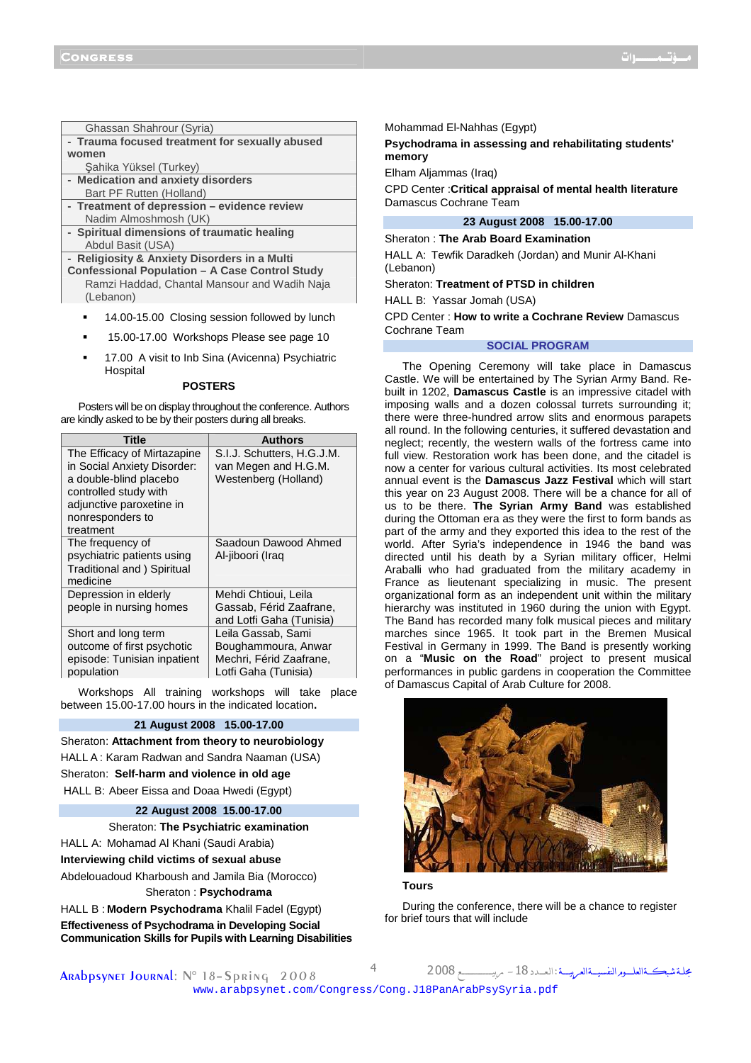| Ghassan Shahrour (Syria) |  |
|--------------------------|--|
|                          |  |

- **Trauma focused treatment for sexually abused women**
- Şahika Yüksel (Turkey)
- **Medication and anxiety disorders**
- Bart PF Rutten (Holland) **- Treatment of depression – evidence review**
- Nadim Almoshmosh (UK)
- **Spiritual dimensions of traumatic healing**  Abdul Basit (USA)
- **Religiosity & Anxiety Disorders in a Multi Confessional Population – A Case Control Study**  Ramzi Haddad, Chantal Mansour and Wadih Naja (Lebanon)
	- 14.00-15.00 Closing session followed by lunch
	- 15.00-17.00 Workshops Please see page 10
	- 17.00 A visit to Inb Sina (Avicenna) Psychiatric **Hospital**

## **POSTERS**

Posters will be on display throughout the conference. Authors are kindly asked to be by their posters during all breaks.

| Title                                                                                          | <b>Authors</b>                                                                               |
|------------------------------------------------------------------------------------------------|----------------------------------------------------------------------------------------------|
| The Efficacy of Mirtazapine<br>in Social Anxiety Disorder:                                     | S.I.J. Schutters, H.G.J.M.<br>van Megen and H.G.M.                                           |
| a double-blind placebo<br>controlled study with                                                | Westenberg (Holland)                                                                         |
| adjunctive paroxetine in                                                                       |                                                                                              |
| nonresponders to<br>treatment                                                                  |                                                                                              |
| The frequency of<br>psychiatric patients using<br>Traditional and) Spiritual<br>medicine       | Saadoun Dawood Ahmed<br>Al-jiboori (Iraq                                                     |
| Depression in elderly<br>people in nursing homes                                               | Mehdi Chtioui, Leila<br>Gassab, Férid Zaafrane,<br>and Lotfi Gaha (Tunisia)                  |
| Short and long term<br>outcome of first psychotic<br>episode: Tunisian inpatient<br>population | Leila Gassab, Sami<br>Boughammoura, Anwar<br>Mechri, Férid Zaafrane,<br>Lotfi Gaha (Tunisia) |

Workshops All training workshops will take place between 15.00-17.00 hours in the indicated location**.**

## **21 August 2008 15.00-17.00**

Sheraton: **Attachment from theory to neurobiology**  HALL A : Karam Radwan and Sandra Naaman (USA) Sheraton: **Self-harm and violence in old age**  HALL B: Abeer Eissa and Doaa Hwedi (Egypt)

#### **22 August 2008 15.00-17.00**

Sheraton: **The Psychiatric examination**  HALL A: Mohamad Al Khani (Saudi Arabia) **Interviewing child victims of sexual abuse**  Abdelouadoud Kharboush and Jamila Bia (Morocco) Sheraton : **Psychodrama** 

HALL B : **Modern Psychodrama** Khalil Fadel (Egypt) **Effectiveness of Psychodrama in Developing Social Communication Skills for Pupils with Learning Disabilities**  Mohammad El-Nahhas (Egypt)

**Psychodrama in assessing and rehabilitating students' memory** 

Elham Aljammas (Iraq)

CPD Center :**Critical appraisal of mental health literature**  Damascus Cochrane Team

# **23 August 2008 15.00-17.00**

Sheraton : **The Arab Board Examination**  HALL A: Tewfik Daradkeh (Jordan) and Munir Al-Khani (Lebanon)

Sheraton: **Treatment of PTSD in children** 

HALL B: Yassar Jomah (USA)

CPD Center : **How to write a Cochrane Review** Damascus Cochrane Team

#### **SOCIAL PROGRAM**

The Opening Ceremony will take place in Damascus Castle. We will be entertained by The Syrian Army Band. Rebuilt in 1202, **Damascus Castle** is an impressive citadel with imposing walls and a dozen colossal turrets surrounding it; there were three-hundred arrow slits and enormous parapets all round. In the following centuries, it suffered devastation and neglect; recently, the western walls of the fortress came into full view. Restoration work has been done, and the citadel is now a center for various cultural activities. Its most celebrated annual event is the **Damascus Jazz Festival** which will start this year on 23 August 2008. There will be a chance for all of us to be there. **The Syrian Army Band** was established during the Ottoman era as they were the first to form bands as part of the army and they exported this idea to the rest of the world. After Syria's independence in 1946 the band was directed until his death by a Syrian military officer, Helmi Araballi who had graduated from the military academy in France as lieutenant specializing in music. The present organizational form as an independent unit within the military hierarchy was instituted in 1960 during the union with Egypt. The Band has recorded many folk musical pieces and military marches since 1965. It took part in the Bremen Musical Festival in Germany in 1999. The Band is presently working on a "**Music on the Road**" project to present musical performances in public gardens in cooperation the Committee of Damascus Capital of Arab Culture for 2008.





During the conference, there will be a chance to register for brief tours that will include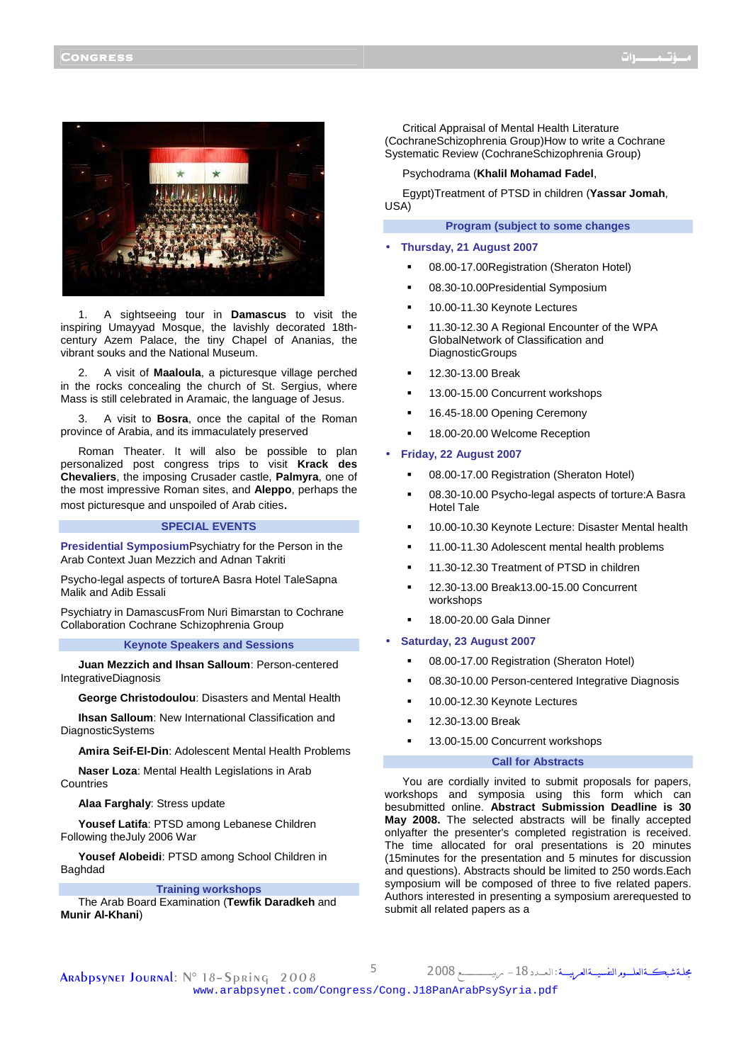

1. A sightseeing tour in **Damascus** to visit the inspiring Umayyad Mosque, the lavishly decorated 18thcentury Azem Palace, the tiny Chapel of Ananias, the vibrant souks and the National Museum.

2. A visit of **Maaloula**, a picturesque village perched in the rocks concealing the church of St. Sergius, where Mass is still celebrated in Aramaic, the language of Jesus.

3. A visit to **Bosra**, once the capital of the Roman province of Arabia, and its immaculately preserved

Roman Theater. It will also be possible to plan personalized post congress trips to visit **Krack des Chevaliers**, the imposing Crusader castle, **Palmyra**, one of the most impressive Roman sites, and **Aleppo**, perhaps the most picturesque and unspoiled of Arab cities.

## **SPECIAL EVENTS**

**Presidential Symposium**Psychiatry for the Person in the Arab Context Juan Mezzich and Adnan Takriti

Psycho-legal aspects of tortureA Basra Hotel TaleSapna Malik and Adib Essali

Psychiatry in DamascusFrom Nuri Bimarstan to Cochrane Collaboration Cochrane Schizophrenia Group

# **Keynote Speakers and Sessions**

**Juan Mezzich and Ihsan Salloum**: Person-centered IntegrativeDiagnosis

**George Christodoulou**: Disasters and Mental Health

**Ihsan Salloum**: New International Classification and DiagnosticSystems

**Amira Seif-El-Din**: Adolescent Mental Health Problems

**Naser Loza**: Mental Health Legislations in Arab **Countries** 

#### **Alaa Farghaly**: Stress update

**Yousef Latifa**: PTSD among Lebanese Children Following theJuly 2006 War

**Yousef Alobeidi**: PTSD among School Children in Baghdad

#### **Training workshops**

The Arab Board Examination (**Tewfik Daradkeh** and **Munir Al-Khani**)

Critical Appraisal of Mental Health Literature (CochraneSchizophrenia Group)How to write a Cochrane Systematic Review (CochraneSchizophrenia Group)

#### Psychodrama (**Khalil Mohamad Fadel**,

Egypt)Treatment of PTSD in children (**Yassar Jomah**, USA)

## **Program (subject to some changes**

- **Thursday, 21 August 2007** 
	- 08.00-17.00Registration (Sheraton Hotel)
	- 08.30-10.00Presidential Symposium
	- 10.00-11.30 Keynote Lectures
	- 11.30-12.30 A Regional Encounter of the WPA GlobalNetwork of Classification and DiagnosticGroups
	- 12.30-13.00 Break
	- 13.00-15.00 Concurrent workshops
	- 16.45-18.00 Opening Ceremony
	- 18.00-20.00 Welcome Reception

## • **Friday, 22 August 2007**

- 08.00-17.00 Registration (Sheraton Hotel)
- 08.30-10.00 Psycho-legal aspects of torture:A Basra Hotel Tale
- 10.00-10.30 Keynote Lecture: Disaster Mental health
- 11.00-11.30 Adolescent mental health problems
- 11.30-12.30 Treatment of PTSD in children
- 12.30-13.00 Break13.00-15.00 Concurrent workshops
- 18.00-20.00 Gala Dinner

## • **Saturday, 23 August 2007**

- 08.00-17.00 Registration (Sheraton Hotel)
- 08.30-10.00 Person-centered Integrative Diagnosis
- 10.00-12.30 Keynote Lectures
- 12.30-13.00 Break
- 13.00-15.00 Concurrent workshops

## **Call for Abstracts**

You are cordially invited to submit proposals for papers, workshops and symposia using this form which can besubmitted online. **Abstract Submission Deadline is 30 May 2008.** The selected abstracts will be finally accepted onlyafter the presenter's completed registration is received. The time allocated for oral presentations is 20 minutes (15minutes for the presentation and 5 minutes for discussion and questions). Abstracts should be limited to 250 words.Each symposium will be composed of three to five related papers. Authors interested in presenting a symposium arerequested to submit all related papers as a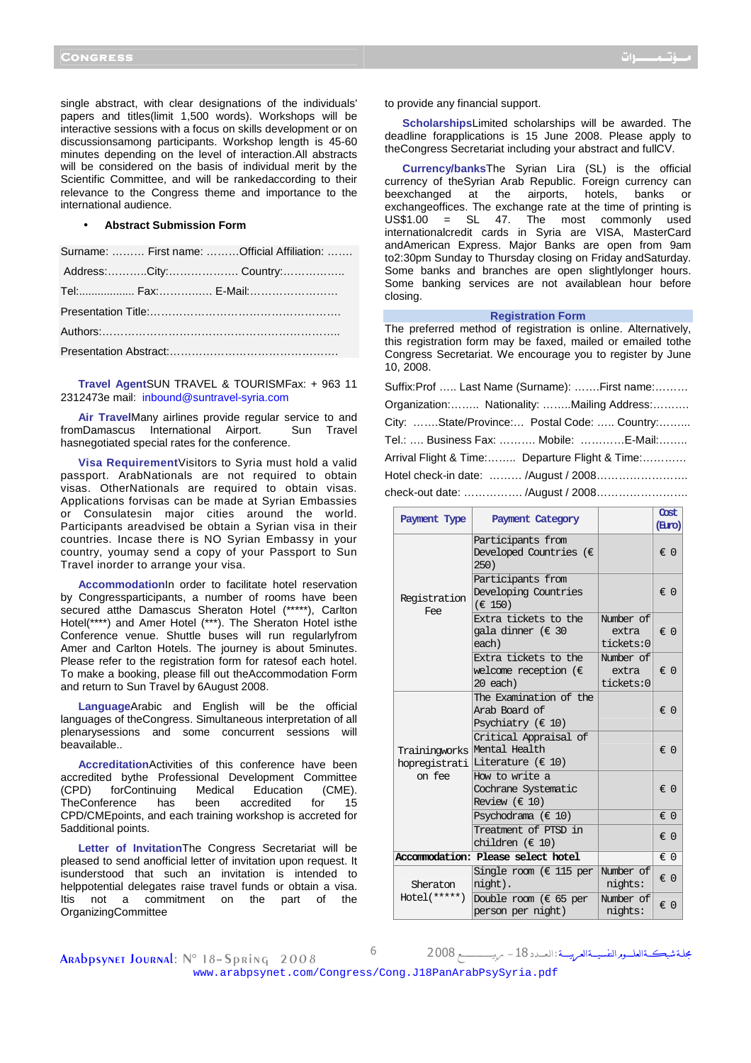single abstract, with clear designations of the individuals' papers and titles(limit 1,500 words). Workshops will be interactive sessions with a focus on skills development or on discussionsamong participants. Workshop length is 45-60 minutes depending on the level of interaction.All abstracts will be considered on the basis of individual merit by the Scientific Committee, and will be rankedaccording to their relevance to the Congress theme and importance to the international audience.

#### • **Abstract Submission Form**

|  | Surname:  First name: Official Affiliation: |
|--|---------------------------------------------|
|  |                                             |
|  | Tel: Fax: E-Mail:                           |
|  |                                             |
|  |                                             |
|  |                                             |

**Travel Agent**SUN TRAVEL & TOURISMFax: + 963 11 2312473e mail: inbound@suntravel-syria.com

**Air Travel**Many airlines provide regular service to and fromDamascus International Airport. Sun Travel hasnegotiated special rates for the conference.

**Visa Requirement**Visitors to Syria must hold a valid passport. ArabNationals are not required to obtain visas. OtherNationals are required to obtain visas. Applications forvisas can be made at Syrian Embassies or Consulatesin major cities around the world. Participants areadvised be obtain a Syrian visa in their countries. Incase there is NO Syrian Embassy in your country, youmay send a copy of your Passport to Sun Travel inorder to arrange your visa.

**Accommodation**In order to facilitate hotel reservation by Congressparticipants, a number of rooms have been secured atthe Damascus Sheraton Hotel (\*\*\*\*\*), Carlton Hotel(\*\*\*\*) and Amer Hotel (\*\*\*). The Sheraton Hotel isthe Conference venue. Shuttle buses will run regularlyfrom Amer and Carlton Hotels. The journey is about 5minutes. Please refer to the registration form for ratesof each hotel. To make a booking, please fill out theAccommodation Form and return to Sun Travel by 6August 2008.

**Language**Arabic and English will be the official languages of theCongress. Simultaneous interpretation of all plenarysessions and some concurrent sessions will beavailable..

**Accreditation**Activities of this conference have been accredited bythe Professional Development Committee (CPD) forContinuing Medical Education (CME). TheConference has been accredited for 15 CPD/CMEpoints, and each training workshop is accreted for 5additional points.

**Letter of Invitation**The Congress Secretariat will be pleased to send anofficial letter of invitation upon request. It isunderstood that such an invitation is intended to helppotential delegates raise travel funds or obtain a visa. Itis not a commitment on the part of the **OrganizingCommittee** 

to provide any financial support.

**Scholarships**Limited scholarships will be awarded. The deadline forapplications is 15 June 2008. Please apply to theCongress Secretariat including your abstract and fullCV.

**Currency/banks**The Syrian Lira (SL) is the official currency of theSyrian Arab Republic. Foreign currency can beexchanged at the airports, hotels, banks or exchangeoffices. The exchange rate at the time of printing is  $US$1.00 = SL 47$ . The most commonly used internationalcredit cards in Syria are VISA, MasterCard andAmerican Express. Major Banks are open from 9am to2:30pm Sunday to Thursday closing on Friday andSaturday. Some banks and branches are open slightlylonger hours. Some banking services are not availablean hour before closing.

#### **Registration Form**

The preferred method of registration is online. Alternatively, this registration form may be faxed, mailed or emailed tothe Congress Secretariat. We encourage you to register by June 10, 2008.

| Suffix: Prof  Last Name (Surname):  First name: |
|-------------------------------------------------|
| Organization: Nationality: Mailing Address:     |
| City: State/Province: Postal Code:  Country:    |
| Tel.:  Business Fax:  Mobile: E-Mail:           |
| Arrival Flight & Time: Departure Flight & Time: |
|                                                 |
| $\lambda$                                       |

check-out date: ……………. /August / 2008…………………….

| Payment Type            | Payment Category                                                               |                                 | Clost<br>(ELITO) |
|-------------------------|--------------------------------------------------------------------------------|---------------------------------|------------------|
| Registration<br>Fee     | Participants from<br>Developed Countries $(\epsilon$<br>250)                   |                                 | $\in 0$          |
|                         | Participants from<br>Developing Countries<br>$(\in 150)$                       |                                 | € 0              |
|                         | Extra tickets to the<br>gala dinner (€ 30<br>each)                             | Number of<br>extra<br>tickets:0 | $\in 0$          |
|                         | Extra tickets to the<br>welcome reception ( $\in$<br>20 each)                  | Number of<br>extra<br>tickets:0 | $\in 0$          |
| hopregistrati<br>on fee | The Examination of the<br>Arab Board of<br>Psychiatry ( $\in$ 10)              |                                 | $\in 0$          |
|                         | Critical Appraisal of<br>Trainingworks Mental Health<br>Literature ( $\in$ 10) |                                 | $\in 0$          |
|                         | How to write a<br>Cochrane Systematic<br>Review ( $\in$ 10)                    |                                 | $\in 0$          |
|                         | Psychodrama $(\in 10)$                                                         |                                 | $\in 0$          |
|                         | Treatment of PTSD in<br>children ( $\in$ 10)                                   |                                 | $\in 0$          |
|                         | Accommodation: Please select hotel                                             |                                 | € 0              |
| Sheraton                | Single room ( $\in$ 115 per<br>night).                                         | Number of<br>nights:            | $\in 0$          |
| $Hotel(*****')$         | Double room ( $\in$ 65 per<br>person per night)                                | Number of<br>nights:            | $\in 0$          |